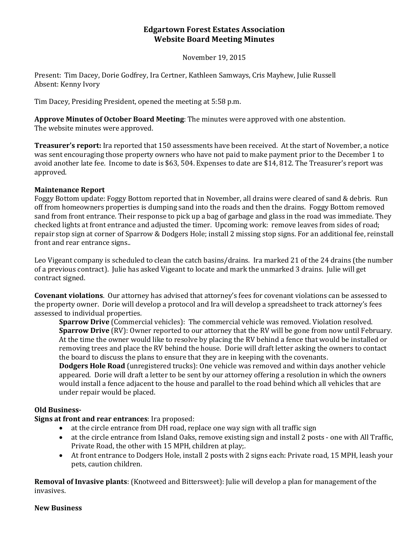## **Edgartown Forest Estates Association Website Board Meeting Minutes**

November 19, 2015

Present: Tim Dacey, Dorie Godfrey, Ira Certner, Kathleen Samways, Cris Mayhew, Julie Russell Absent: Kenny Ivory

Tim Dacey, Presiding President, opened the meeting at 5:58 p.m.

**Approve Minutes of October Board Meeting**: The minutes were approved with one abstention. The website minutes were approved.

**Treasurer's report:** Ira reported that 150 assessments have been received. At the start of November, a notice was sent encouraging those property owners who have not paid to make payment prior to the December 1 to avoid another late fee. Income to date is \$63, 504. Expenses to date are \$14, 812. The Treasurer's report was approved.

### **Maintenance Report**

Foggy Bottom update: Foggy Bottom reported that in November, all drains were cleared of sand & debris. Run off from homeowners properties is dumping sand into the roads and then the drains. Foggy Bottom removed sand from front entrance. Their response to pick up a bag of garbage and glass in the road was immediate. They checked lights at front entrance and adjusted the timer. Upcoming work: remove leaves from sides of road; repair stop sign at corner of Sparrow & Dodgers Hole; install 2 missing stop signs. For an additional fee, reinstall front and rear entrance signs..

Leo Vigeant company is scheduled to clean the catch basins/drains. Ira marked 21 of the 24 drains (the number of a previous contract). Julie has asked Vigeant to locate and mark the unmarked 3 drains. Julie will get contract signed.

**Covenant violations**. Our attorney has advised that attorney's fees for covenant violations can be assessed to the property owner. Dorie will develop a protocol and Ira will develop a spreadsheet to track attorney's fees assessed to individual properties.

**Sparrow Drive** (Commercial vehicles): The commercial vehicle was removed. Violation resolved. **Sparrow Drive** (RV): Owner reported to our attorney that the RV will be gone from now until February. At the time the owner would like to resolve by placing the RV behind a fence that would be installed or removing trees and place the RV behind the house. Dorie will draft letter asking the owners to contact the board to discuss the plans to ensure that they are in keeping with the covenants.

**Dodgers Hole Road** (unregistered trucks): One vehicle was removed and within days another vehicle appeared. Dorie will draft a letter to be sent by our attorney offering a resolution in which the owners would install a fence adjacent to the house and parallel to the road behind which all vehicles that are under repair would be placed.

### **Old Business-**

**Signs at front and rear entrances**: Ira proposed:

- at the circle entrance from DH road, replace one way sign with all traffic sign
- at the circle entrance from Island Oaks, remove existing sign and install 2 posts one with All Traffic, Private Road, the other with 15 MPH, children at play;.
- At front entrance to Dodgers Hole, install 2 posts with 2 signs each: Private road, 15 MPH, leash your pets, caution children.

**Removal of Invasive plants**: (Knotweed and Bittersweet): Julie will develop a plan for management of the invasives.

#### **New Business**